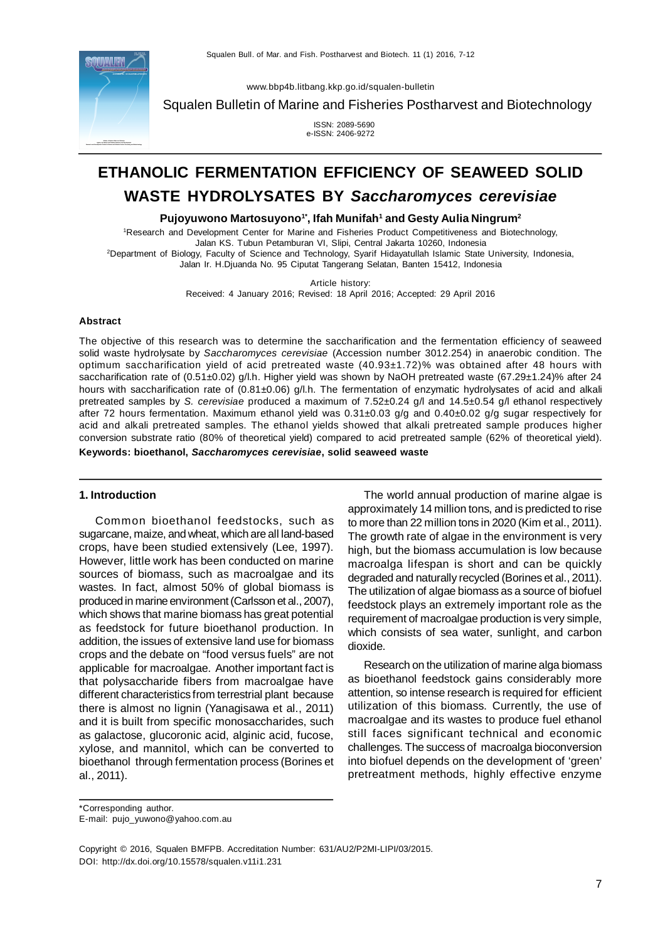

[www.bbp4b.litbang.kkp.go.id/squalen-bulletin](http://www.bbp4b.litbang.kkp.go.id/squalen-bulletin)

Squalen Bulletin of Marine and Fisheries Postharvest and Biotechnology

 ISSN: 2089-5690 e-ISSN: 2406-9272

# **ETHANOLIC FERMENTATION EFFICIENCY OF SEAWEED SOLID WASTE HYDROLYSATES BY** *Saccharomyces cerevisiae*

**Pujoyuwono Martosuyono1\*, Ifah Munifah<sup>1</sup>and Gesty Aulia Ningrum<sup>2</sup>**

<sup>1</sup>Research and Development Center for Marine and Fisheries Product Competitiveness and Biotechnology, Jalan KS. Tubun Petamburan VI, Slipi, Central Jakarta 10260, Indonesia <sup>2</sup>Department of Biology, Faculty of Science and Technology, Syarif Hidayatullah Islamic State University, Indonesia,

Jalan Ir. H.Djuanda No. 95 Ciputat Tangerang Selatan, Banten 15412, Indonesia

Article history:

Received: 4 January 2016; Revised: 18 April 2016; Accepted: 29 April 2016

#### **Abstract**

The objective of this research was to determine the saccharification and the fermentation efficiency of seaweed solid waste hydrolysate by *Saccharomyces cerevisiae* (Accession number 3012.254) in anaerobic condition. The optimum saccharification yield of acid pretreated waste (40.93±1.72)% was obtained after 48 hours with saccharification rate of (0.51±0.02) g/l.h. Higher yield was shown by NaOH pretreated waste (67.29±1.24)% after 24 hours with saccharification rate of (0.81±0.06) g/l.h. The fermentation of enzymatic hydrolysates of acid and alkali pretreated samples by *S. cerevisiae* produced a maximum of 7.52±0.24 g/l and 14.5±0.54 g/l ethanol respectively after 72 hours fermentation. Maximum ethanol yield was 0.31±0.03 g/g and 0.40±0.02 g/g sugar respectively for acid and alkali pretreated samples. The ethanol yields showed that alkali pretreated sample produces higher conversion substrate ratio (80% of theoretical yield) compared to acid pretreated sample (62% of theoretical yield).

**Keywords: bioethanol,** *Saccharomyces cerevisiae***, solid seaweed waste**

## **1. Introduction**

Common bioethanol feedstocks, such as sugarcane, maize, and wheat, which are all land-based crops, have been studied extensively (Lee, 1997). However, little work has been conducted on marine sources of biomass, such as macroalgae and its wastes. In fact, almost 50% of global biomass is produced in marine environment (Carlsson et al., 2007), which shows that marine biomass has great potential as feedstock for future bioethanol production. In addition, the issues of extensive land use for biomass crops and the debate on "food versus fuels" are not applicable for macroalgae. Another important fact is that polysaccharide fibers from macroalgae have different characteristics from terrestrial plant because there is almost no lignin (Yanagisawa et al., 2011) and it is built from specific monosaccharides, such as galactose, glucoronic acid, alginic acid, fucose, xylose, and mannitol, which can be converted to bioethanol through fermentation process (Borines et al., 2011).

The world annual production of marine algae is approximately 14 million tons, and is predicted to rise to more than 22 million tons in 2020 (Kim et al., 2011). The growth rate of algae in the environment is very high, but the biomass accumulation is low because macroalga lifespan is short and can be quickly degraded and naturally recycled (Borines et al., 2011). The utilization of algae biomass as a source of biofuel feedstock plays an extremely important role as the requirement of macroalgae production is very simple, which consists of sea water, sunlight, and carbon dioxide.

Research on the utilization of marine alga biomass as bioethanol feedstock gains considerably more attention, so intense research is required for efficient utilization of this biomass. Currently, the use of macroalgae and its wastes to produce fuel ethanol still faces significant technical and economic challenges. The success of macroalga bioconversion into biofuel depends on the development of 'green' pretreatment methods, highly effective enzyme

\*Corresponding author.

Copyright © 2016, Squalen BMFPB. Accreditation Number: 631/AU2/P2MI-LIPI/03/2015. DOI: <http://dx.doi.org/10.15578/squalen.v11i1.231>

E-mail: [pujo\\_yuwono@yahoo.com.au](mailto:pujo_yuwono@yahoo.com.au)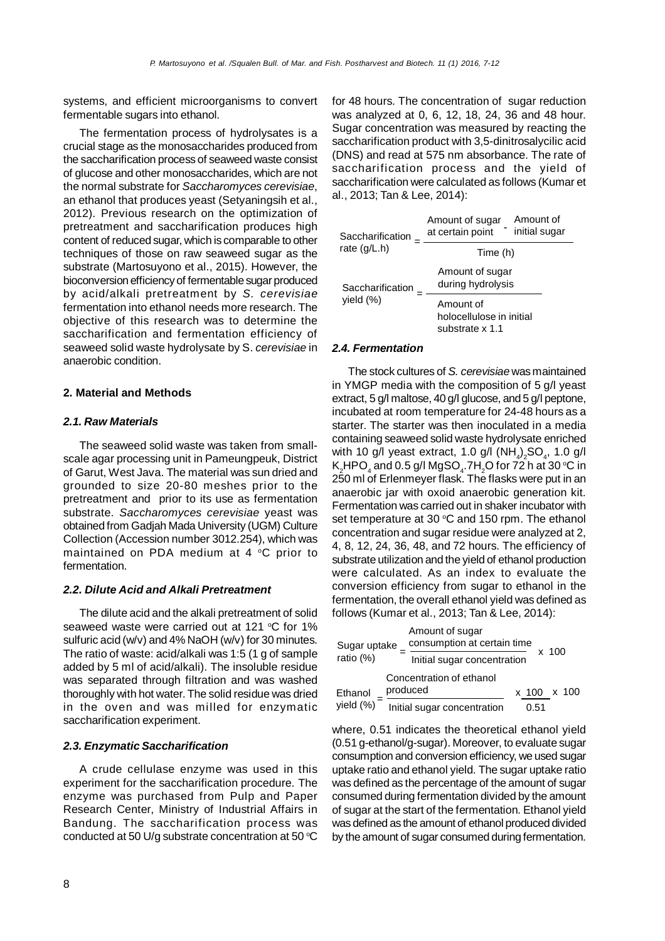systems, and efficient microorganisms to convert fermentable sugars into ethanol.

The fermentation process of hydrolysates is a crucial stage as the monosaccharides produced from the saccharification process of seaweed waste consist of glucose and other monosaccharides, which are not the normal substrate for *Saccharomyces cerevisiae*, an ethanol that produces yeast (Setyaningsih et al., 2012). Previous research on the optimization of pretreatment and saccharification produces high content of reduced sugar, which is comparable to other techniques of those on raw seaweed sugar as the substrate (Martosuyono et al., 2015). However, the bioconversion efficiency of fermentable sugar produced by acid/alkali pretreatment by *S. cerevisiae* fermentation into ethanol needs more research. The objective of this research was to determine the saccharification and fermentation efficiency of seaweed solid waste hydrolysate by S. *cerevisiae* in anaerobic condition.

## **2. Material and Methods**

# *2.1. Raw Materials*

The seaweed solid waste was taken from smallscale agar processing unit in Pameungpeuk, District of Garut, West Java. The material was sun dried and grounded to size 20-80 meshes prior to the pretreatment and prior to its use as fermentation substrate. *Saccharomyces cerevisiae* yeast was obtained from Gadjah Mada University (UGM) Culture Collection (Accession number 3012.254), which was maintained on PDA medium at  $4 \degree C$  prior to fermentation.

## *2.2. Dilute Acid and Alkali Pretreatment*

The dilute acid and the alkali pretreatment of solid seaweed waste were carried out at 121  $\degree$ C for 1% sulfuric acid (w/v) and 4% NaOH (w/v) for 30 minutes. The ratio of waste: acid/alkali was 1:5 (1 g of sample added by 5 ml of acid/alkali). The insoluble residue was separated through filtration and was washed thoroughly with hot water. The solid residue was dried in the oven and was milled for enzymatic saccharification experiment.

## *2.3. Enzymatic Saccharification*

A crude cellulase enzyme was used in this experiment for the saccharification procedure. The enzyme was purchased from Pulp and Paper Research Center, Ministry of Industrial Affairs in Bandung. The saccharification process was conducted at 50 U/g substrate concentration at 50  $\degree$ C for 48 hours. The concentration of sugar reduction was analyzed at 0, 6, 12, 18, 24, 36 and 48 hour. Sugar concentration was measured by reacting the saccharification product with 3,5-dinitrosalycilic acid (DNS) and read at 575 nm absorbance. The rate of saccharification process and the yield of saccharification were calculated as follows (Kumar et al., 2013; Tan & Lee, 2014):

| Saccharification | Amount of<br>Amount of sugar<br>initial sugar<br>at certain point |
|------------------|-------------------------------------------------------------------|
| rate $(q/L.h)$   | Time (h)                                                          |
| Saccharification | Amount of sugar<br>during hydrolysis                              |
| yield (%)        | Amount of<br>holocellulose in initial<br>substrate x 1.1          |

#### *2.4. Fermentation*

The stock cultures of *S. cerevisiae* was maintained in YMGP media with the composition of 5 g/l yeast extract, 5 g/l maltose, 40 g/l glucose, and 5 g/l peptone, incubated at room temperature for 24-48 hours as a starter. The starter was then inoculated in a media containing seaweed solid waste hydrolysate enriched with 10 g/l yeast extract, 1.0 g/l  $(\text{NH}_4)_2\text{SO}_4$ , 1.0 g/l K $_{\textrm{\tiny{2}}}$ HPO $_{\textrm{\tiny{4}}}$  and 0.5 g/l MgSO $_{\textrm{\tiny{4}}}$ .7H $_{\textrm{\tiny{2}}}$ O for 72 h at 30 °C in 250 ml of Erlenmeyer flask. The flasks were put in an anaerobic jar with oxoid anaerobic generation kit. Fermentation was carried out in shaker incubator with set temperature at 30  $\degree$ C and 150 rpm. The ethanol concentration and sugar residue were analyzed at 2, 4, 8, 12, 24, 36, 48, and 72 hours. The efficiency of substrate utilization and the yield of ethanol production were calculated. As an index to evaluate the conversion efficiency from sugar to ethanol in the fermentation, the overall ethanol yield was defined as follows (Kumar et al., 2013; Tan & Lee, 2014):

| Sugar uptake | Amount of sugar<br>consumption at certain time |                             |      | $x$ 100 |                 |
|--------------|------------------------------------------------|-----------------------------|------|---------|-----------------|
| ratio (%)    |                                                | Initial sugar concentration |      |         |                 |
|              | Concentration of ethanol                       |                             |      |         |                 |
| Ethanol      | produced                                       |                             |      |         | $x$ 100 $x$ 100 |
| yield (%)    | Initial sugar concentration                    |                             | 0.51 |         |                 |

where, 0.51 indicates the theoretical ethanol yield (0.51 g-ethanol/g-sugar). Moreover, to evaluate sugar consumption and conversion efficiency, we used sugar uptake ratio and ethanol yield. The sugar uptake ratio was defined as the percentage of the amount of sugar consumed during fermentation divided by the amount of sugar at the start of the fermentation. Ethanol yield was defined as the amount of ethanol produced divided by the amount of sugar consumed during fermentation.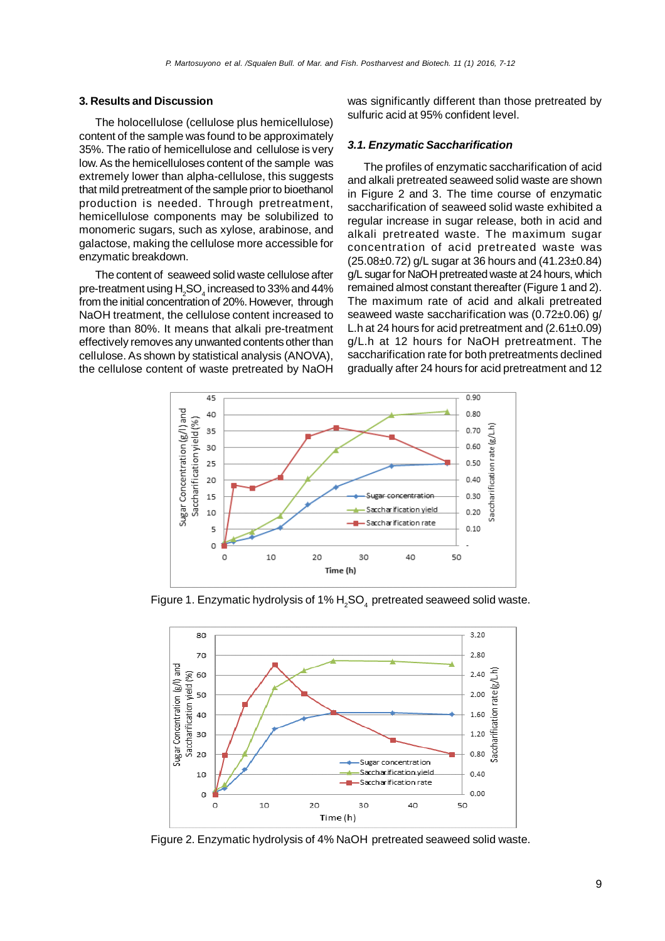## **3. Results and Discussion**

The holocellulose (cellulose plus hemicellulose) content of the sample was found to be approximately 35%. The ratio of hemicellulose and cellulose is very low. As the hemicelluloses content of the sample was extremely lower than alpha-cellulose, this suggests that mild pretreatment of the sample prior to bioethanol production is needed. Through pretreatment, hemicellulose components may be solubilized to monomeric sugars, such as xylose, arabinose, and galactose, making the cellulose more accessible for enzymatic breakdown.

The content of seaweed solid waste cellulose after pre-treatment using  ${\sf H_2SO}_4$  increased to 33% and 44% from the initial concentration of 20%. However, through NaOH treatment, the cellulose content increased to more than 80%. It means that alkali pre-treatment effectively removes any unwanted contents other than cellulose. As shown by statistical analysis (ANOVA), the cellulose content of waste pretreated by NaOH was significantly different than those pretreated by sulfuric acid at 95% confident level.

## *3.1. Enzymatic Saccharification*

The profiles of enzymatic saccharification of acid and alkali pretreated seaweed solid waste are shown in Figure 2 and 3. The time course of enzymatic saccharification of seaweed solid waste exhibited a regular increase in sugar release, both in acid and alkali pretreated waste. The maximum sugar concentration of acid pretreated waste was (25.08±0.72) g/L sugar at 36 hours and (41.23±0.84) g/L sugar for NaOH pretreated waste at 24 hours, which remained almost constant thereafter (Figure 1 and 2). The maximum rate of acid and alkali pretreated seaweed waste saccharification was (0.72±0.06) g/ L.h at 24 hours for acid pretreatment and (2.61±0.09) g/L.h at 12 hours for NaOH pretreatment. The saccharification rate for both pretreatments declined gradually after 24 hours for acid pretreatment and 12



Figure 1. Enzymatic hydrolysis of 1%  $H<sub>2</sub>SO<sub>4</sub>$  pretreated seaweed solid waste.



Figure 2. Enzymatic hydrolysis of 4% NaOH pretreated seaweed solid waste.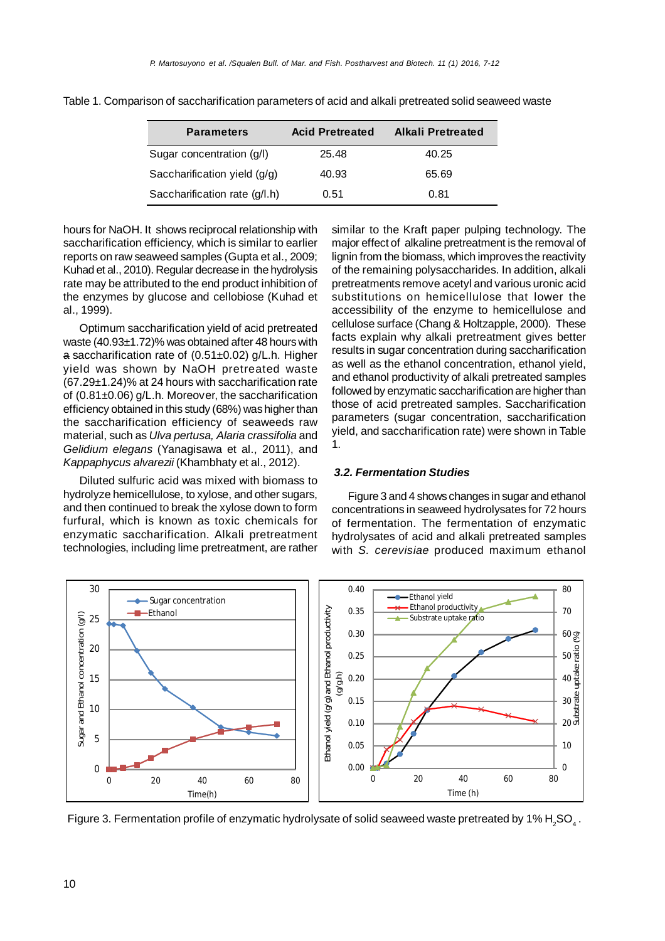| <b>Parameters</b>             | <b>Acid Pretreated</b> | Alkali Pretreated |
|-------------------------------|------------------------|-------------------|
| Sugar concentration (g/l)     | 25.48                  | 40.25             |
| Saccharification yield (g/g)  | 40.93                  | 65.69             |
| Saccharification rate (g/l.h) | 0.51                   | 0.81              |

Table 1. Comparison of saccharification parameters of acid and alkali pretreated solid seaweed waste

hours for NaOH. It shows reciprocal relationship with saccharification efficiency, which is similar to earlier reports on raw seaweed samples (Gupta et al., 2009; Kuhad et al., 2010). Regular decrease in the hydrolysis rate may be attributed to the end product inhibition of the enzymes by glucose and cellobiose (Kuhad et al., 1999).

Optimum saccharification yield of acid pretreated waste (40.93±1.72)% was obtained after 48 hours with a saccharification rate of (0.51±0.02) g/L.h. Higher yield was shown by NaOH pretreated waste (67.29±1.24)% at 24 hours with saccharification rate of (0.81±0.06) g/L.h. Moreover, the saccharification efficiency obtained in this study (68%) was higher than the saccharification efficiency of seaweeds raw material, such as *Ulva pertusa, Alaria crassifolia* and *Gelidium elegans* (Yanagisawa et al., 2011), and *Kappaphycus alvarezii* (Khambhaty et al., 2012).

Diluted sulfuric acid was mixed with biomass to hydrolyze hemicellulose, to xylose, and other sugars, and then continued to break the xylose down to form furfural, which is known as toxic chemicals for enzymatic saccharification. Alkali pretreatment technologies, including lime pretreatment, are rather similar to the Kraft paper pulping technology. The major effect of alkaline pretreatment is the removal of lignin from the biomass, which improves the reactivity of the remaining polysaccharides. In addition, alkali pretreatments remove acetyl and various uronic acid substitutions on hemicellulose that lower the accessibility of the enzyme to hemicellulose and cellulose surface (Chang & Holtzapple, 2000). These facts explain why alkali pretreatment gives better results in sugar concentration during saccharification as well as the ethanol concentration, ethanol yield, and ethanol productivity of alkali pretreated samples followed by enzymatic saccharification are higher than those of acid pretreated samples. Saccharification parameters (sugar concentration, saccharification yield, and saccharification rate) were shown in Table 1.

# *3.2. Fermentation Studies*

Figure 3 and 4 shows changes in sugar and ethanol concentrations in seaweed hydrolysates for 72 hours of fermentation. The fermentation of enzymatic hydrolysates of acid and alkali pretreated samples with *S. cerevisiae* produced maximum ethanol



Figure 3. Fermentation profile of enzymatic hydrolysate of solid seaweed waste pretreated by 1%  $\mathsf{H}_2$ SO $_4$  .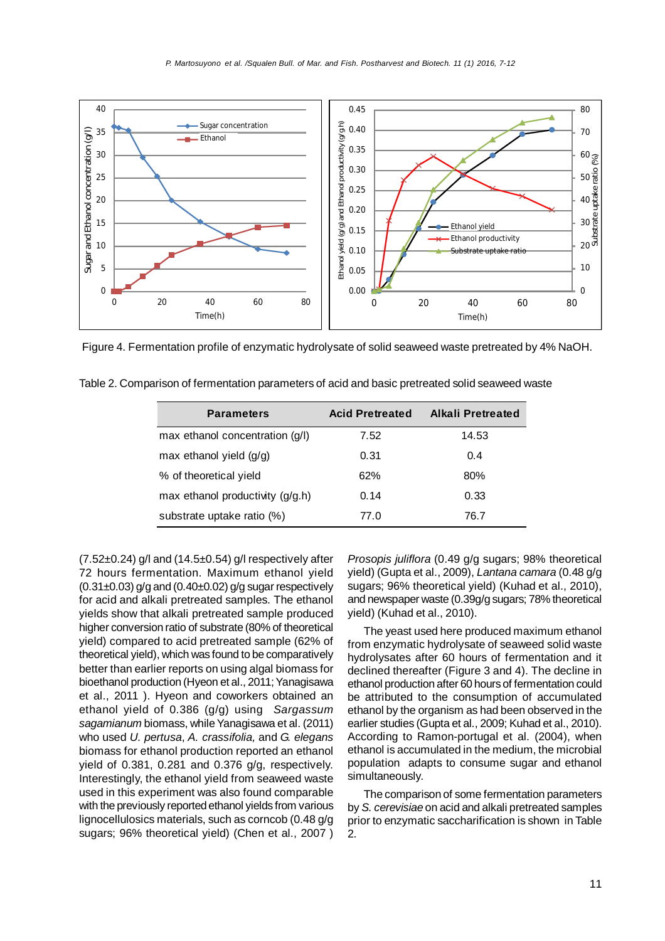

Figure 4. Fermentation profile of enzymatic hydrolysate of solid seaweed waste pretreated by 4% NaOH.

| <b>Parameters</b>                | <b>Acid Pretreated</b> | Alkali Pretreated |
|----------------------------------|------------------------|-------------------|
| max ethanol concentration (g/l)  | 7.52                   | 14.53             |
| max ethanol yield $(g/g)$        | 0.31                   | 0.4               |
| % of theoretical yield           | 62%                    | 80%               |
| max ethanol productivity (g/g.h) | 0.14                   | 0.33              |
| substrate uptake ratio (%)       | 77.0                   | 76.7              |

Table 2. Comparison of fermentation parameters of acid and basic pretreated solid seaweed waste

 $(7.52\pm0.24)$  g/l and  $(14.5\pm0.54)$  g/l respectively after 72 hours fermentation. Maximum ethanol yield  $(0.31\pm0.03)$  g/g and  $(0.40\pm0.02)$  g/g sugar respectively for acid and alkali pretreated samples. The ethanol yields show that alkali pretreated sample produced higher conversion ratio of substrate (80% of theoretical yield) compared to acid pretreated sample (62% of theoretical yield), which was found to be comparatively better than earlier reports on using algal biomass for bioethanol production (Hyeon et al., 2011; Yanagisawa et al., 2011 ). Hyeon and coworkers obtained an ethanol yield of 0.386 (g/g) using *Sargassum sagamianum* biomass, while Yanagisawa et al. (2011) who used *U. pertusa*, *A. crassifolia,* and *G. elegans* biomass for ethanol production reported an ethanol yield of 0.381, 0.281 and 0.376 g/g, respectively. Interestingly, the ethanol yield from seaweed waste used in this experiment was also found comparable with the previously reported ethanol yields from various lignocellulosics materials, such as corncob (0.48 g/g sugars; 96% theoretical yield) (Chen et al., 2007 )

*Prosopis juliflora* (0.49 g/g sugars; 98% theoretical yield) (Gupta et al., 2009), *Lantana camara* (0.48 g/g sugars; 96% theoretical yield) (Kuhad et al., 2010), and newspaper waste (0.39g/g sugars; 78% theoretical yield) (Kuhad et al., 2010).

The yeast used here produced maximum ethanol from enzymatic hydrolysate of seaweed solid waste hydrolysates after 60 hours of fermentation and it declined thereafter (Figure 3 and 4). The decline in ethanol production after 60 hours of fermentation could be attributed to the consumption of accumulated ethanol by the organism as had been observed in the earlier studies (Gupta et al., 2009; Kuhad et al., 2010). According to Ramon-portugal et al. (2004), when ethanol is accumulated in the medium, the microbial population adapts to consume sugar and ethanol simultaneously.

The comparison of some fermentation parameters by *S. cerevisiae* on acid and alkali pretreated samples prior to enzymatic saccharification is shown in Table 2.